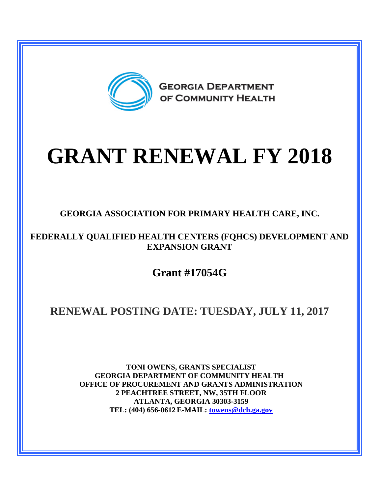

# **GRANT RENEWAL FY 2018**

**GEORGIA ASSOCIATION FOR PRIMARY HEALTH CARE, INC.**

**FEDERALLY QUALIFIED HEALTH CENTERS (FQHCS) DEVELOPMENT AND EXPANSION GRANT**

**Grant #17054G**

## **RENEWAL POSTING DATE: TUESDAY, JULY 11, 2017**

**TONI OWENS, GRANTS SPECIALIST GEORGIA DEPARTMENT OF COMMUNITY HEALTH OFFICE OF PROCUREMENT AND GRANTS ADMINISTRATION 2 PEACHTREE STREET, NW, 35TH FLOOR ATLANTA, GEORGIA 30303-3159 TEL: (404) 656-0612 E-MAIL: [towens@dch.ga.gov](mailto:towens@dch.ga.gov)**